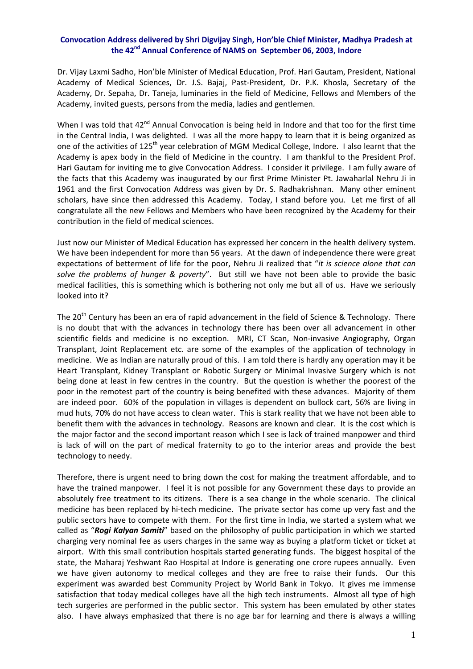## **Convocation Address delivered by Shri Digvijay Singh, Hon'ble Chief Minister, Madhya Pradesh at the 42nd Annual Conference of NAMS on September 06, 2003, Indore**

Dr. Vijay Laxmi Sadho, Hon'ble Minister of Medical Education, Prof. Hari Gautam, President, National Academy of Medical Sciences, Dr. J.S. Bajaj, Past-President, Dr. P.K. Khosla, Secretary of the Academy, Dr. Sepaha, Dr. Taneja, luminaries in the field of Medicine, Fellows and Members of the Academy, invited guests, persons from the media, ladies and gentlemen.

When I was told that  $42^{nd}$  Annual Convocation is being held in Indore and that too for the first time in the Central India, I was delighted. I was all the more happy to learn that it is being organized as one of the activities of 125<sup>th</sup> year celebration of MGM Medical College, Indore. I also learnt that the Academy is apex body in the field of Medicine in the country. I am thankful to the President Prof. Hari Gautam for inviting me to give Convocation Address. I consider it privilege. I am fully aware of the facts that this Academy was inaugurated by our first Prime Minister Pt. Jawaharlal Nehru Ji in 1961 and the first Convocation Address was given by Dr. S. Radhakrishnan. Many other eminent scholars, have since then addressed this Academy. Today, I stand before you. Let me first of all congratulate all the new Fellows and Members who have been recognized by the Academy for their contribution in the field of medical sciences.

Just now our Minister of Medical Education has expressed her concern in the health delivery system. We have been independent for more than 56 years. At the dawn of independence there were great expectations of betterment of life for the poor, Nehru Ji realized that "*it is science alone that can solve the problems of hunger & poverty*". But still we have not been able to provide the basic medical facilities, this is something which is bothering not only me but all of us. Have we seriously looked into it?

The 20<sup>th</sup> Century has been an era of rapid advancement in the field of Science & Technology. There is no doubt that with the advances in technology there has been over all advancement in other scientific fields and medicine is no exception. MRI, CT Scan, Non-invasive Angiography, Organ Transplant, Joint Replacement etc. are some of the examples of the application of technology in medicine. We as Indian are naturally proud of this. I am told there is hardly any operation may it be Heart Transplant, Kidney Transplant or Robotic Surgery or Minimal Invasive Surgery which is not being done at least in few centres in the country. But the question is whether the poorest of the poor in the remotest part of the country is being benefited with these advances. Majority of them are indeed poor. 60% of the population in villages is dependent on bullock cart, 56% are living in mud huts, 70% do not have access to clean water. This is stark reality that we have not been able to benefit them with the advances in technology. Reasons are known and clear. It is the cost which is the major factor and the second important reason which I see is lack of trained manpower and third is lack of will on the part of medical fraternity to go to the interior areas and provide the best technology to needy.

Therefore, there is urgent need to bring down the cost for making the treatment affordable, and to have the trained manpower. I feel it is not possible for any Government these days to provide an absolutely free treatment to its citizens. There is a sea change in the whole scenario. The clinical medicine has been replaced by hi-tech medicine. The private sector has come up very fast and the public sectors have to compete with them. For the first time in India, we started a system what we called as "*Rogi Kalyan Samiti*" based on the philosophy of public participation in which we started charging very nominal fee as users charges in the same way as buying a platform ticket or ticket at airport. With this small contribution hospitals started generating funds. The biggest hospital of the state, the Maharaj Yeshwant Rao Hospital at Indore is generating one crore rupees annually. Even we have given autonomy to medical colleges and they are free to raise their funds. Our this experiment was awarded best Community Project by World Bank in Tokyo. It gives me immense satisfaction that today medical colleges have all the high tech instruments. Almost all type of high tech surgeries are performed in the public sector. This system has been emulated by other states also. I have always emphasized that there is no age bar for learning and there is always a willing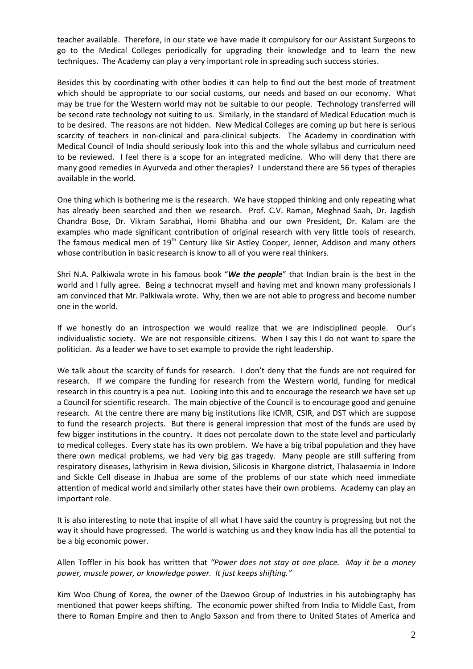teacher available. Therefore, in our state we have made it compulsory for our Assistant Surgeons to go to the Medical Colleges periodically for upgrading their knowledge and to learn the new techniques. The Academy can play a very important role in spreading such success stories.

Besides this by coordinating with other bodies it can help to find out the best mode of treatment which should be appropriate to our social customs, our needs and based on our economy. What may be true for the Western world may not be suitable to our people. Technology transferred will be second rate technology not suiting to us. Similarly, in the standard of Medical Education much is to be desired. The reasons are not hidden. New Medical Colleges are coming up but here is serious scarcity of teachers in non-clinical and para-clinical subjects. The Academy in coordination with Medical Council of India should seriously look into this and the whole syllabus and curriculum need to be reviewed. I feel there is a scope for an integrated medicine. Who will deny that there are many good remedies in Ayurveda and other therapies? I understand there are 56 types of therapies available in the world.

One thing which is bothering me is the research. We have stopped thinking and only repeating what has already been searched and then we research. Prof. C.V. Raman, Meghnad Saah, Dr. Jagdish Chandra Bose, Dr. Vikram Sarabhai, Homi Bhabha and our own President, Dr. Kalam are the examples who made significant contribution of original research with very little tools of research. The famous medical men of 19<sup>th</sup> Century like Sir Astley Cooper, Jenner, Addison and many others whose contribution in basic research is know to all of you were real thinkers.

Shri N.A. Palkiwala wrote in his famous book "*We the people*" that Indian brain is the best in the world and I fully agree. Being a technocrat myself and having met and known many professionals I am convinced that Mr. Palkiwala wrote. Why, then we are not able to progress and become number one in the world.

If we honestly do an introspection we would realize that we are indisciplined people. Our's individualistic society. We are not responsible citizens. When I say this I do not want to spare the politician. As a leader we have to set example to provide the right leadership.

We talk about the scarcity of funds for research. I don't deny that the funds are not required for research. If we compare the funding for research from the Western world, funding for medical research in this country is a pea nut. Looking into this and to encourage the research we have set up a Council for scientific research. The main objective of the Council is to encourage good and genuine research. At the centre there are many big institutions like ICMR, CSIR, and DST which are suppose to fund the research projects. But there is general impression that most of the funds are used by few bigger institutions in the country. It does not percolate down to the state level and particularly to medical colleges. Every state has its own problem. We have a big tribal population and they have there own medical problems, we had very big gas tragedy. Many people are still suffering from respiratory diseases, lathyrisim in Rewa division, Silicosis in Khargone district, Thalasaemia in Indore and Sickle Cell disease in Jhabua are some of the problems of our state which need immediate attention of medical world and similarly other states have their own problems. Academy can play an important role.

It is also interesting to note that inspite of all what I have said the country is progressing but not the way it should have progressed. The world is watching us and they know India has all the potential to be a big economic power.

Allen Toffler in his book has written that *"Power does not stay at one place. May it be a money power, muscle power, or knowledge power. It just keeps shifting."*

Kim Woo Chung of Korea, the owner of the Daewoo Group of Industries in his autobiography has mentioned that power keeps shifting. The economic power shifted from India to Middle East, from there to Roman Empire and then to Anglo Saxson and from there to United States of America and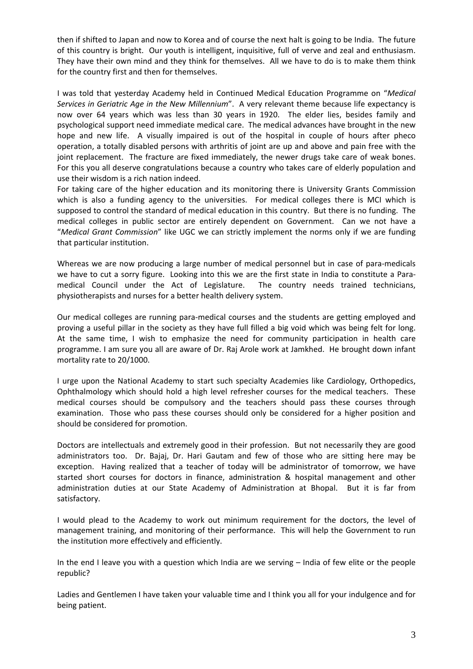then if shifted to Japan and now to Korea and of course the next halt is going to be India. The future of this country is bright. Our youth is intelligent, inquisitive, full of verve and zeal and enthusiasm. They have their own mind and they think for themselves. All we have to do is to make them think for the country first and then for themselves.

I was told that yesterday Academy held in Continued Medical Education Programme on "*Medical Services in Geriatric Age in the New Millennium*". A very relevant theme because life expectancy is now over 64 years which was less than 30 years in 1920. The elder lies, besides family and psychological support need immediate medical care. The medical advances have brought in the new hope and new life. A visually impaired is out of the hospital in couple of hours after pheco operation, a totally disabled persons with arthritis of joint are up and above and pain free with the joint replacement. The fracture are fixed immediately, the newer drugs take care of weak bones. For this you all deserve congratulations because a country who takes care of elderly population and use their wisdom is a rich nation indeed.

For taking care of the higher education and its monitoring there is University Grants Commission which is also a funding agency to the universities. For medical colleges there is MCI which is supposed to control the standard of medical education in this country. But there is no funding. The medical colleges in public sector are entirely dependent on Government. Can we not have a "*Medical Grant Commission*" like UGC we can strictly implement the norms only if we are funding that particular institution.

Whereas we are now producing a large number of medical personnel but in case of para-medicals we have to cut a sorry figure. Looking into this we are the first state in India to constitute a Paramedical Council under the Act of Legislature. The country needs trained technicians, physiotherapists and nurses for a better health delivery system.

Our medical colleges are running para‐medical courses and the students are getting employed and proving a useful pillar in the society as they have full filled a big void which was being felt for long. At the same time, I wish to emphasize the need for community participation in health care programme. I am sure you all are aware of Dr. Raj Arole work at Jamkhed. He brought down infant mortality rate to 20/1000.

I urge upon the National Academy to start such specialty Academies like Cardiology, Orthopedics, Ophthalmology which should hold a high level refresher courses for the medical teachers. These medical courses should be compulsory and the teachers should pass these courses through examination. Those who pass these courses should only be considered for a higher position and should be considered for promotion.

Doctors are intellectuals and extremely good in their profession. But not necessarily they are good administrators too. Dr. Bajaj, Dr. Hari Gautam and few of those who are sitting here may be exception. Having realized that a teacher of today will be administrator of tomorrow, we have started short courses for doctors in finance, administration & hospital management and other administration duties at our State Academy of Administration at Bhopal. But it is far from satisfactory.

I would plead to the Academy to work out minimum requirement for the doctors, the level of management training, and monitoring of their performance. This will help the Government to run the institution more effectively and efficiently.

In the end I leave you with a question which India are we serving – India of few elite or the people republic?

Ladies and Gentlemen I have taken your valuable time and I think you all for your indulgence and for being patient.